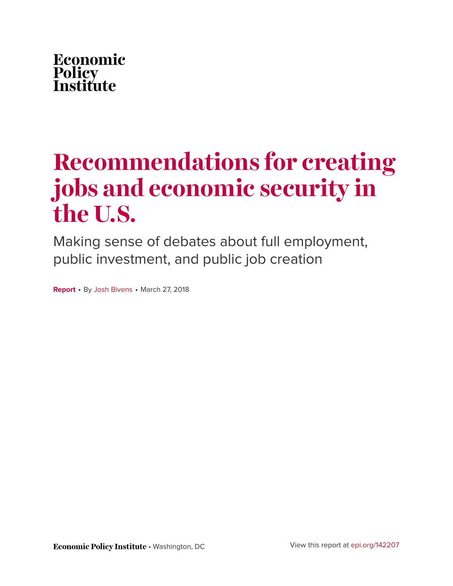

# **Recommendations for creating jobs and economic security in the U.S.**

Making sense of debates about full employment, public investment, and public job creation

**Report** • By [Josh Bivens](https://www.epi.org/people/josh-bivens/) • March 27, 2018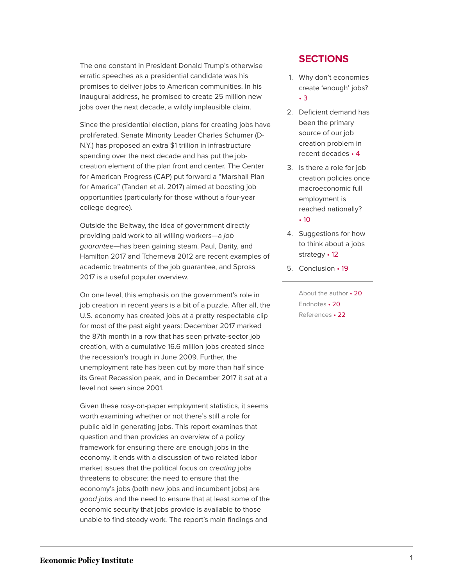The one constant in President Donald Trump's otherwise erratic speeches as a presidential candidate was his promises to deliver jobs to American communities. In his inaugural address, he promised to create 25 million new jobs over the next decade, a wildly implausible claim.

Since the presidential election, plans for creating jobs have proliferated. Senate Minority Leader Charles Schumer (D-N.Y.) has proposed an extra \$1 trillion in infrastructure spending over the next decade and has put the jobcreation element of the plan front and center. The Center for American Progress (CAP) put forward a "Marshall Plan for America" (Tanden et al. 2017) aimed at boosting job opportunities (particularly for those without a four-year college degree).

Outside the Beltway, the idea of government directly providing paid work to all willing workers—a job guarantee—has been gaining steam. Paul, Darity, and Hamilton 2017 and Tcherneva 2012 are recent examples of academic treatments of the job guarantee, and Spross 2017 is a useful popular overview.

On one level, this emphasis on the government's role in job creation in recent years is a bit of a puzzle. After all, the U.S. economy has created jobs at a pretty respectable clip for most of the past eight years: December 2017 marked the 87th month in a row that has seen private-sector job creation, with a cumulative 16.6 million jobs created since the recession's trough in June 2009. Further, the unemployment rate has been cut by more than half since its Great Recession peak, and in December 2017 it sat at a level not seen since 2001.

Given these rosy-on-paper employment statistics, it seems worth examining whether or not there's still a role for public aid in generating jobs. This report examines that question and then provides an overview of a policy framework for ensuring there are enough jobs in the economy. It ends with a discussion of two related labor market issues that the political focus on creating jobs threatens to obscure: the need to ensure that the economy's jobs (both new jobs and incumbent jobs) are good jobs and the need to ensure that at least some of the economic security that jobs provide is available to those unable to find steady work. The report's main findings and

#### **SECTIONS**

- 1. [Why don't economies](#page-3-0) [create 'enough'](#page-3-0) jobs? • [3](#page-3-0)
- 2. [Deficient demand has](#page-4-0) [been the primary](#page-4-0) [source of our job](#page-4-0) [creation problem in](#page-4-0) recent [decades](#page-4-0) • 4
- 3. [Is there a role for job](#page-10-0) [creation policies once](#page-10-0) [macroeconomic full](#page-10-0) [employment is](#page-10-0) reached [nationally?](#page-10-0) • [10](#page-10-0)
- 4. [Suggestions for how](#page-12-0) [to think about a jobs](#page-12-0) [strategy](#page-12-0) • 12
- 5. [Conclusion](#page-19-0) 19

[About the](#page-20-0) author • 20 [Endnotes](#page-20-1) • 20 [References](#page-22-0) • 22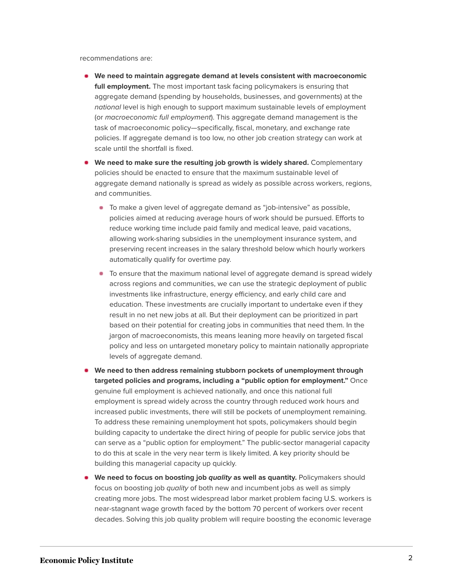recommendations are:

- **We need to maintain aggregate demand at levels consistent with macroeconomic full employment.** The most important task facing policymakers is ensuring that aggregate demand (spending by households, businesses, and governments) at the national level is high enough to support maximum sustainable levels of employment (or macroeconomic full employment). This aggregate demand management is the task of macroeconomic policy—specifically, fiscal, monetary, and exchange rate policies. If aggregate demand is too low, no other job creation strategy can work at scale until the shortfall is fixed.
- **We need to make sure the resulting job growth is widely shared.** Complementary policies should be enacted to ensure that the maximum sustainable level of aggregate demand nationally is spread as widely as possible across workers, regions, and communities.
	- To make a given level of aggregate demand as "job-intensive" as possible, policies aimed at reducing average hours of work should be pursued. Efforts to reduce working time include paid family and medical leave, paid vacations, allowing work-sharing subsidies in the unemployment insurance system, and preserving recent increases in the salary threshold below which hourly workers automatically qualify for overtime pay.
	- To ensure that the maximum national level of aggregate demand is spread widely across regions and communities, we can use the strategic deployment of public investments like infrastructure, energy efficiency, and early child care and education. These investments are crucially important to undertake even if they result in no net new jobs at all. But their deployment can be prioritized in part based on their potential for creating jobs in communities that need them. In the jargon of macroeconomists, this means leaning more heavily on targeted fiscal policy and less on untargeted monetary policy to maintain nationally appropriate levels of aggregate demand.
- **We need to then address remaining stubborn pockets of unemployment through targeted policies and programs, including a "public option for employment."** Once genuine full employment is achieved nationally, and once this national full employment is spread widely across the country through reduced work hours and increased public investments, there will still be pockets of unemployment remaining. To address these remaining unemployment hot spots, policymakers should begin building capacity to undertake the direct hiring of people for public service jobs that can serve as a "public option for employment." The public-sector managerial capacity to do this at scale in the very near term is likely limited. A key priority should be building this managerial capacity up quickly.
- **We need to focus on boosting job** *quality* **as well as quantity. Policymakers should** focus on boosting job quality of both new and incumbent jobs as well as simply creating more jobs. The most widespread labor market problem facing U.S. workers is near-stagnant wage growth faced by the bottom 70 percent of workers over recent decades. Solving this job quality problem will require boosting the economic leverage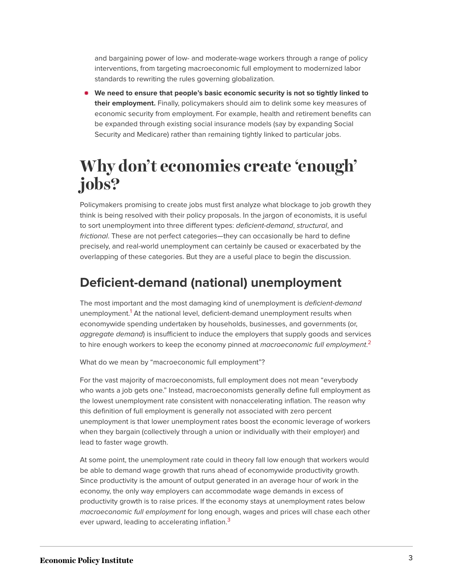and bargaining power of low- and moderate-wage workers through a range of policy interventions, from targeting macroeconomic full employment to modernized labor standards to rewriting the rules governing globalization.

**We need to ensure that people's basic economic security is not so tightly linked to their employment.** Finally, policymakers should aim to delink some key measures of economic security from employment. For example, health and retirement benefits can be expanded through existing social insurance models (say by expanding Social Security and Medicare) rather than remaining tightly linked to particular jobs.

# <span id="page-3-0"></span>**Why don't economies create 'enough' jobs?**

Policymakers promising to create jobs must first analyze what blockage to job growth they think is being resolved with their policy proposals. In the jargon of economists, it is useful to sort unemployment into three different types: deficient-demand, structural, and frictional. These are not perfect categories—they can occasionally be hard to define precisely, and real-world unemployment can certainly be caused or exacerbated by the overlapping of these categories. But they are a useful place to begin the discussion.

## **Deficient-demand (national) unemployment**

<span id="page-3-1"></span>The most important and the most damaging kind of unemployment is deficient-demand unemployment.<sup>[1](#page-20-2)</sup> At the national level, deficient-demand unemployment results when economywide spending undertaken by households, businesses, and governments (or, aggregate demand) is insufficient to induce the employers that supply goods and services to hire enough workers to keep the economy pinned at *macroeconomic full employment.<sup>[2](#page-20-3)</sup>* 

<span id="page-3-2"></span>What do we mean by "macroeconomic full employment"?

For the vast majority of macroeconomists, full employment does not mean "everybody who wants a job gets one." Instead, macroeconomists generally define full employment as the lowest unemployment rate consistent with nonaccelerating inflation. The reason why this definition of full employment is generally not associated with zero percent unemployment is that lower unemployment rates boost the economic leverage of workers when they bargain (collectively through a union or individually with their employer) and lead to faster wage growth.

<span id="page-3-3"></span>At some point, the unemployment rate could in theory fall low enough that workers would be able to demand wage growth that runs ahead of economywide productivity growth. Since productivity is the amount of output generated in an average hour of work in the economy, the only way employers can accommodate wage demands in excess of productivity growth is to raise prices. If the economy stays at unemployment rates below macroeconomic full employment for long enough, wages and prices will chase each other ever upward, leading to accelerating inflation.<sup>[3](#page-20-4)</sup>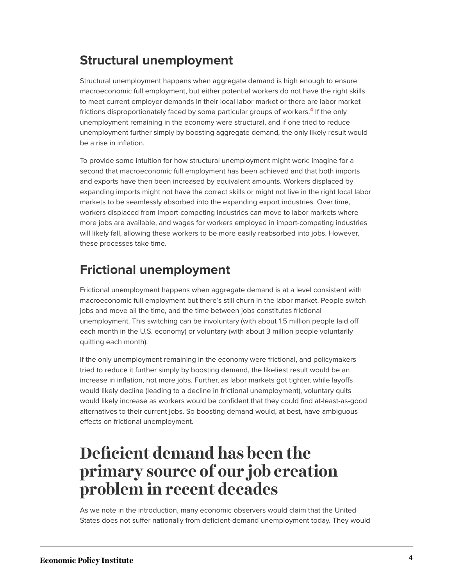## **Structural unemployment**

<span id="page-4-1"></span>Structural unemployment happens when aggregate demand is high enough to ensure macroeconomic full employment, but either potential workers do not have the right skills to meet current employer demands in their local labor market or there are labor market frictions disproportionately faced by some particular groups of workers.<sup>[4](#page-20-5)</sup> If the only unemployment remaining in the economy were structural, and if one tried to reduce unemployment further simply by boosting aggregate demand, the only likely result would be a rise in inflation.

To provide some intuition for how structural unemployment might work: imagine for a second that macroeconomic full employment has been achieved and that both imports and exports have then been increased by equivalent amounts. Workers displaced by expanding imports might not have the correct skills or might not live in the right local labor markets to be seamlessly absorbed into the expanding export industries. Over time, workers displaced from import-competing industries can move to labor markets where more jobs are available, and wages for workers employed in import-competing industries will likely fall, allowing these workers to be more easily reabsorbed into jobs. However, these processes take time.

## **Frictional unemployment**

Frictional unemployment happens when aggregate demand is at a level consistent with macroeconomic full employment but there's still churn in the labor market. People switch jobs and move all the time, and the time between jobs constitutes frictional unemployment. This switching can be involuntary (with about 1.5 million people laid off each month in the U.S. economy) or voluntary (with about 3 million people voluntarily quitting each month).

If the only unemployment remaining in the economy were frictional, and policymakers tried to reduce it further simply by boosting demand, the likeliest result would be an increase in inflation, not more jobs. Further, as labor markets got tighter, while layoffs would likely decline (leading to a decline in frictional unemployment), voluntary quits would likely increase as workers would be confident that they could find at-least-as-good alternatives to their current jobs. So boosting demand would, at best, have ambiguous effects on frictional unemployment.

# <span id="page-4-0"></span>**Deficient demand has been the primary source of our job creation problem in recent decades**

As we note in the introduction, many economic observers would claim that the United States does not suffer nationally from deficient-demand unemployment today. They would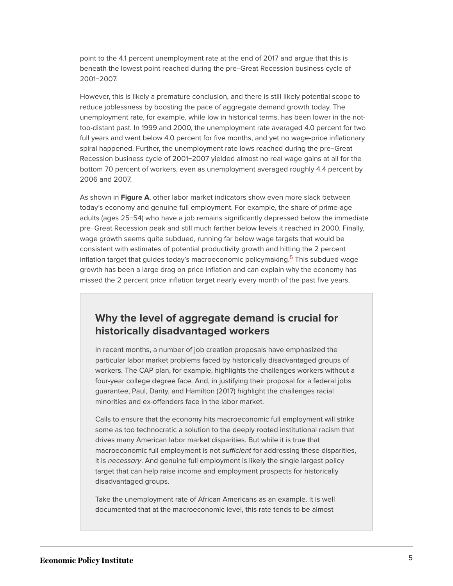point to the 4.1 percent unemployment rate at the end of 2017 and argue that this is beneath the lowest point reached during the pre−Great Recession business cycle of 2001−2007.

However, this is likely a premature conclusion, and there is still likely potential scope to reduce joblessness by boosting the pace of aggregate demand growth today. The unemployment rate, for example, while low in historical terms, has been lower in the nottoo-distant past. In 1999 and 2000, the unemployment rate averaged 4.0 percent for two full years and went below 4.0 percent for five months, and yet no wage-price inflationary spiral happened. Further, the unemployment rate lows reached during the pre−Great Recession business cycle of 2001−2007 yielded almost no real wage gains at all for the bottom 70 percent of workers, even as unemployment averaged roughly 4.4 percent by 2006 and 2007.

<span id="page-5-0"></span>As shown in **Figure A**, other labor market indicators show even more slack between today's economy and genuine full employment. For example, the share of prime-age adults (ages 25−54) who have a job remains significantly depressed below the immediate pre−Great Recession peak and still much farther below levels it reached in 2000. Finally, wage growth seems quite subdued, running far below wage targets that would be consistent with estimates of potential productivity growth and hitting the 2 percent inflation target that quides today's macroeconomic policymaking.<sup>[5](#page-20-6)</sup> This subdued wage growth has been a large drag on price inflation and can explain why the economy has missed the 2 percent price inflation target nearly every month of the past five years.

#### **Why the level of aggregate demand is crucial for historically disadvantaged workers**

In recent months, a number of job creation proposals have emphasized the particular labor market problems faced by historically disadvantaged groups of workers. The CAP plan, for example, highlights the challenges workers without a four-year college degree face. And, in justifying their proposal for a federal jobs guarantee, Paul, Darity, and Hamilton (2017) highlight the challenges racial minorities and ex-offenders face in the labor market.

Calls to ensure that the economy hits macroeconomic full employment will strike some as too technocratic a solution to the deeply rooted institutional racism that drives many American labor market disparities. But while it is true that macroeconomic full employment is not sufficient for addressing these disparities, it is necessary. And genuine full employment is likely the single largest policy target that can help raise income and employment prospects for historically disadvantaged groups.

Take the unemployment rate of African Americans as an example. It is well documented that at the macroeconomic level, this rate tends to be almost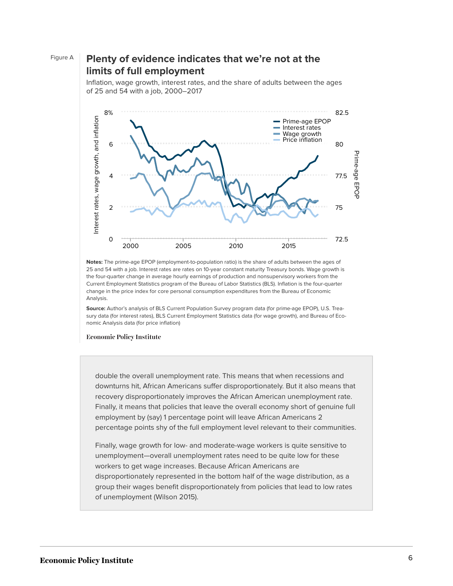#### Figure A **Plenty of evidence indicates that we're not at the limits of full employment**

Inflation, wage growth, interest rates, and the share of adults between the ages of 25 and 54 with a job, 2000–2017



**Notes:** The prime-age EPOP (employment-to-population ratio) is the share of adults between the ages of 25 and 54 with a job. Interest rates are rates on 10-year constant maturity Treasury bonds. Wage growth is the four-quarter change in average hourly earnings of production and nonsupervisory workers from the Current Employment Statistics program of the Bureau of Labor Statistics (BLS). Inflation is the four-quarter change in the price index for core personal consumption expenditures from the Bureau of Economic Analysis.

**Source:** Author's analysis of BLS Current Population Survey program data (for prime-age EPOP), U.S. Treasury data (for interest rates), BLS Current Employment Statistics data (for wage growth), and Bureau of Eco-

**Economic Policy Institute** 

double the overall unemployment rate. This means that when recessions and downturns hit, African Americans suffer disproportionately. But it also means that recovery disproportionately improves the African American unemployment rate. Finally, it means that policies that leave the overall economy short of genuine full employment by (say) 1 percentage point will leave African Americans 2 percentage points shy of the full employment level relevant to their communities.

Finally, wage growth for low- and moderate-wage workers is quite sensitive to unemployment—overall unemployment rates need to be quite low for these workers to get wage increases. Because African Americans are disproportionately represented in the bottom half of the wage distribution, as a group their wages benefit disproportionately from policies that lead to low rates of unemployment (Wilson 2015).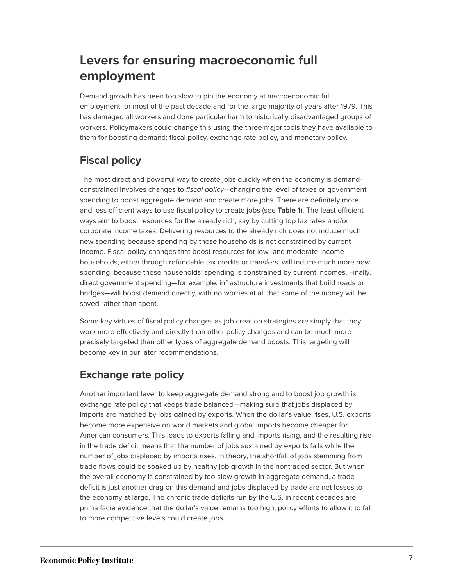## **Levers for ensuring macroeconomic full employment**

Demand growth has been too slow to pin the economy at macroeconomic full employment for most of the past decade and for the large majority of years after 1979. This has damaged all workers and done particular harm to historically disadvantaged groups of workers. Policymakers could change this using the three major tools they have available to them for boosting demand: fiscal policy, exchange rate policy, and monetary policy.

## **Fiscal policy**

The most direct and powerful way to create jobs quickly when the economy is demandconstrained involves changes to *fiscal policy*—changing the level of taxes or government spending to boost aggregate demand and create more jobs. There are definitely more and less efficient ways to use fiscal policy to create jobs (see **Table 1**). The least efficient ways aim to boost resources for the already rich, say by cutting top tax rates and/or corporate income taxes. Delivering resources to the already rich does not induce much new spending because spending by these households is not constrained by current income. Fiscal policy changes that boost resources for low- and moderate-income households, either through refundable tax credits or transfers, will induce much more new spending, because these households' spending is constrained by current incomes. Finally, direct government spending—for example, infrastructure investments that build roads or bridges—will boost demand directly, with no worries at all that some of the money will be saved rather than spent.

Some key virtues of fiscal policy changes as job creation strategies are simply that they work more effectively and directly than other policy changes and can be much more precisely targeted than other types of aggregate demand boosts. This targeting will become key in our later recommendations.

#### **Exchange rate policy**

Another important lever to keep aggregate demand strong and to boost job growth is exchange rate policy that keeps trade balanced—making sure that jobs displaced by imports are matched by jobs gained by exports. When the dollar's value rises, U.S. exports become more expensive on world markets and global imports become cheaper for American consumers. This leads to exports falling and imports rising, and the resulting rise in the trade deficit means that the number of jobs sustained by exports falls while the number of jobs displaced by imports rises. In theory, the shortfall of jobs stemming from trade flows could be soaked up by healthy job growth in the nontraded sector. But when the overall economy is constrained by too-slow growth in aggregate demand, a trade deficit is just another drag on this demand and jobs displaced by trade are net losses to the economy at large. The chronic trade deficits run by the U.S. in recent decades are prima facie evidence that the dollar's value remains too high; policy efforts to allow it to fall to more competitive levels could create jobs.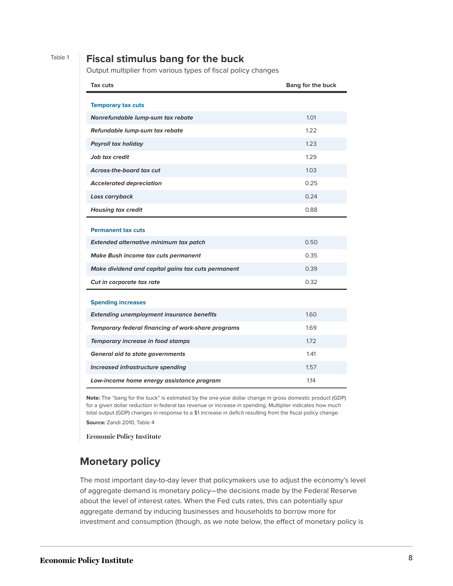#### Table 1 **Fiscal stimulus bang for the buck**

Output multiplier from various types of fiscal policy changes

| Tax cuts                                           | <b>Bang for the buck</b> |
|----------------------------------------------------|--------------------------|
| <b>Temporary tax cuts</b>                          |                          |
| Nonrefundable lump-sum tax rebate                  | 1.01                     |
| Refundable lump-sum tax rebate                     | 1.22                     |
| <b>Payroll tax holiday</b>                         | 1.23                     |
| Job tax credit                                     | 1.29                     |
| <b>Across-the-board tax cut</b>                    | 1.03                     |
| <b>Accelerated depreciation</b>                    | 0.25                     |
| Loss carryback                                     | 0.24                     |
| <b>Housing tax credit</b>                          | 0.88                     |
| <b>Permanent tax cuts</b>                          |                          |
| Extended alternative minimum tax patch             | 0.50                     |
| Make Bush income tax cuts permanent                | 0.35                     |
| Make dividend and capital gains tax cuts permanent | 0.39                     |
| Cut in corporate tax rate                          | 0.32                     |
| <b>Spending increases</b>                          |                          |
| <b>Extending unemployment insurance benefits</b>   | 1.60                     |
| Temporary federal financing of work-share programs | 1.69                     |
| Temporary increase in food stamps                  | 1.72                     |
| <b>General aid to state governments</b>            | 1.41                     |
| Increased infrastructure spending                  | 1.57                     |
| Low-income home energy assistance program          | 1.14                     |

**Note:** The "bang for the buck" is estimated by the one-year dollar change in gross domestic product (GDP) for a given dollar reduction in federal tax revenue or increase in spending. Multiplier indicates how much total output (GDP) changes in response to a \$1 increase in deficit resulting from the fiscal policy change.

**Source:** Zandi 2010, Table 4

**Economic Policy Institute** 

#### **Monetary policy**

The most important day-to-day lever that policymakers use to adjust the economy's level of aggregate demand is monetary policy—the decisions made by the Federal Reserve about the level of interest rates. When the Fed cuts rates, this can potentially spur aggregate demand by inducing businesses and households to borrow more for investment and consumption (though, as we note below, the effect of monetary policy is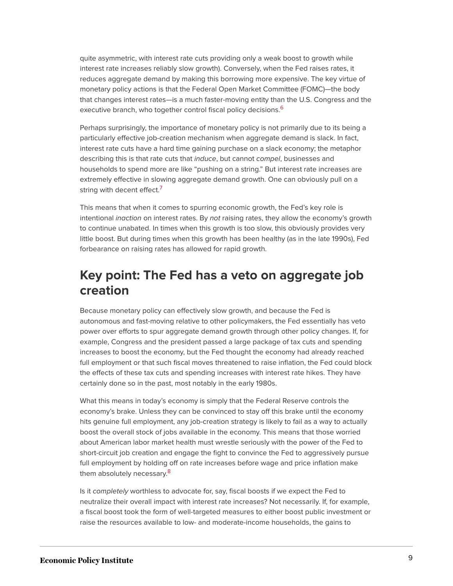quite asymmetric, with interest rate cuts providing only a weak boost to growth while interest rate increases reliably slow growth). Conversely, when the Fed raises rates, it reduces aggregate demand by making this borrowing more expensive. The key virtue of monetary policy actions is that the Federal Open Market Committee (FOMC)—the body that changes interest rates—is a much faster-moving entity than the U.S. Congress and the executive branch, who together control fiscal policy decisions.<sup>[6](#page-20-7)</sup>

<span id="page-9-0"></span>Perhaps surprisingly, the importance of monetary policy is not primarily due to its being a particularly effective job-creation mechanism when aggregate demand is slack. In fact, interest rate cuts have a hard time gaining purchase on a slack economy; the metaphor describing this is that rate cuts that induce, but cannot compel, businesses and households to spend more are like "pushing on a string." But interest rate increases are extremely effective in slowing aggregate demand growth. One can obviously pull on a string with decent effect.<sup>[7](#page-20-8)</sup>

<span id="page-9-1"></span>This means that when it comes to spurring economic growth, the Fed's key role is intentional inaction on interest rates. By not raising rates, they allow the economy's growth to continue unabated. In times when this growth is too slow, this obviously provides very little boost. But during times when this growth has been healthy (as in the late 1990s), Fed forbearance on raising rates has allowed for rapid growth.

### **Key point: The Fed has a veto on aggregate job creation**

Because monetary policy can effectively slow growth, and because the Fed is autonomous and fast-moving relative to other policymakers, the Fed essentially has veto power over efforts to spur aggregate demand growth through other policy changes. If, for example, Congress and the president passed a large package of tax cuts and spending increases to boost the economy, but the Fed thought the economy had already reached full employment or that such fiscal moves threatened to raise inflation, the Fed could block the effects of these tax cuts and spending increases with interest rate hikes. They have certainly done so in the past, most notably in the early 1980s.

What this means in today's economy is simply that the Federal Reserve controls the economy's brake. Unless they can be convinced to stay off this brake until the economy hits genuine full employment, any job-creation strategy is likely to fail as a way to actually boost the overall stock of jobs available in the economy. This means that those worried about American labor market health must wrestle seriously with the power of the Fed to short-circuit job creation and engage the fight to convince the Fed to aggressively pursue full employment by holding off on rate increases before wage and price inflation make them absolutely necessary.<sup>[8](#page-21-0)</sup>

<span id="page-9-2"></span>Is it completely worthless to advocate for, say, fiscal boosts if we expect the Fed to neutralize their overall impact with interest rate increases? Not necessarily. If, for example, a fiscal boost took the form of well-targeted measures to either boost public investment or raise the resources available to low- and moderate-income households, the gains to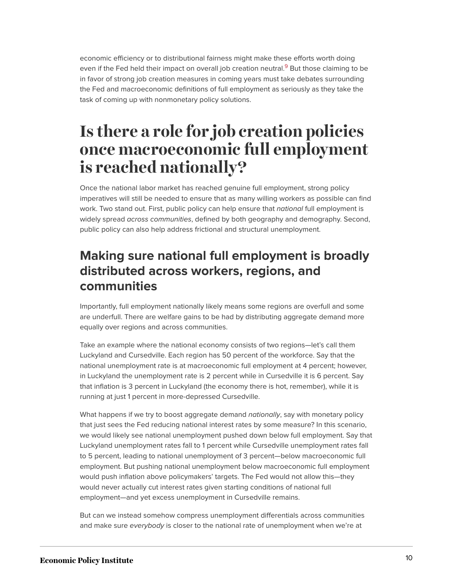<span id="page-10-1"></span>economic efficiency or to distributional fairness might make these efforts worth doing even if the Fed held their impact on overall job creation neutral.<sup>[9](#page-21-1)</sup> But those claiming to be in favor of strong job creation measures in coming years must take debates surrounding the Fed and macroeconomic definitions of full employment as seriously as they take the task of coming up with nonmonetary policy solutions.

# <span id="page-10-0"></span>**Is there a role for job creation policies once macroeconomic full employment is reached nationally?**

Once the national labor market has reached genuine full employment, strong policy imperatives will still be needed to ensure that as many willing workers as possible can find work. Two stand out. First, public policy can help ensure that *national* full employment is widely spread across communities, defined by both geography and demography. Second, public policy can also help address frictional and structural unemployment.

## **Making sure national full employment is broadly distributed across workers, regions, and communities**

Importantly, full employment nationally likely means some regions are overfull and some are underfull. There are welfare gains to be had by distributing aggregate demand more equally over regions and across communities.

Take an example where the national economy consists of two regions—let's call them Luckyland and Cursedville. Each region has 50 percent of the workforce. Say that the national unemployment rate is at macroeconomic full employment at 4 percent; however, in Luckyland the unemployment rate is 2 percent while in Cursedville it is 6 percent. Say that inflation is 3 percent in Luckyland (the economy there is hot, remember), while it is running at just 1 percent in more-depressed Cursedville.

What happens if we try to boost aggregate demand nationally, say with monetary policy that just sees the Fed reducing national interest rates by some measure? In this scenario, we would likely see national unemployment pushed down below full employment. Say that Luckyland unemployment rates fall to 1 percent while Cursedville unemployment rates fall to 5 percent, leading to national unemployment of 3 percent—below macroeconomic full employment. But pushing national unemployment below macroeconomic full employment would push inflation above policymakers' targets. The Fed would not allow this—they would never actually cut interest rates given starting conditions of national full employment—and yet excess unemployment in Cursedville remains.

But can we instead somehow compress unemployment differentials across communities and make sure everybody is closer to the national rate of unemployment when we're at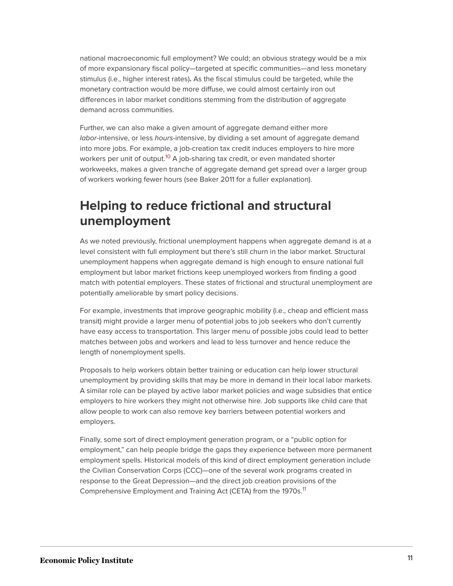national macroeconomic full employment? We could; an obvious strategy would be a mix of more expansionary fiscal policy—targeted at specific communities—and less monetary stimulus (i.e., higher interest rates)**.** As the fiscal stimulus could be targeted, while the monetary contraction would be more diffuse, we could almost certainly iron out differences in labor market conditions stemming from the distribution of aggregate demand across communities.

<span id="page-11-0"></span>Further, we can also make a given amount of aggregate demand either more labor-intensive, or less hours-intensive, by dividing a set amount of aggregate demand into more jobs. For example, a job-creation tax credit induces employers to hire more workers per unit of output.<sup>[10](#page-21-2)</sup> A job-sharing tax credit, or even mandated shorter workweeks, makes a given tranche of aggregate demand get spread over a larger group of workers working fewer hours (see Baker 2011 for a fuller explanation).

## **Helping to reduce frictional and structural unemployment**

As we noted previously, frictional unemployment happens when aggregate demand is at a level consistent with full employment but there's still churn in the labor market. Structural unemployment happens when aggregate demand is high enough to ensure national full employment but labor market frictions keep unemployed workers from finding a good match with potential employers. These states of frictional and structural unemployment are potentially ameliorable by smart policy decisions.

For example, investments that improve geographic mobility (i.e., cheap and efficient mass transit) might provide a larger menu of potential jobs to job seekers who don't currently have easy access to transportation. This larger menu of possible jobs could lead to better matches between jobs and workers and lead to less turnover and hence reduce the length of nonemployment spells.

Proposals to help workers obtain better training or education can help lower structural unemployment by providing skills that may be more in demand in their local labor markets. A similar role can be played by active labor market policies and wage subsidies that entice employers to hire workers they might not otherwise hire. Job supports like child care that allow people to work can also remove key barriers between potential workers and employers.

<span id="page-11-1"></span>Finally, some sort of direct employment generation program, or a "public option for employment," can help people bridge the gaps they experience between more permanent employment spells. Historical models of this kind of direct employment generation include the Civilian Conservation Corps (CCC)—one of the several work programs created in response to the Great Depression—and the direct job creation provisions of the Comprehensive Employment and Training Act (CETA) from the 1970s.<sup>[11](#page-21-3)</sup>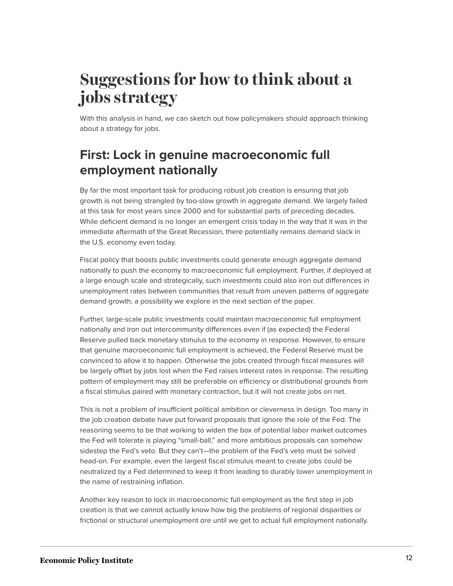# <span id="page-12-0"></span>**Suggestions for how to think about a jobs strategy**

With this analysis in hand, we can sketch out how policymakers should approach thinking about a strategy for jobs.

## **First: Lock in genuine macroeconomic full employment nationally**

By far the most important task for producing robust job creation is ensuring that job growth is not being strangled by too-slow growth in aggregate demand. We largely failed at this task for most years since 2000 and for substantial parts of preceding decades. While deficient demand is no longer an emergent crisis today in the way that it was in the immediate aftermath of the Great Recession, there potentially remains demand slack in the U.S. economy even today.

Fiscal policy that boosts public investments could generate enough aggregate demand nationally to push the economy to macroeconomic full employment. Further, if deployed at a large enough scale and strategically, such investments could also iron out differences in unemployment rates between communities that result from uneven patterns of aggregate demand growth, a possibility we explore in the next section of the paper.

Further, large-scale public investments could maintain macroeconomic full employment nationally and iron out intercommunity differences even if (as expected) the Federal Reserve pulled back monetary stimulus to the economy in response. However, to ensure that genuine macroeconomic full employment is achieved, the Federal Reserve must be convinced to allow it to happen. Otherwise the jobs created through fiscal measures will be largely offset by jobs lost when the Fed raises interest rates in response. The resulting pattern of employment may still be preferable on efficiency or distributional grounds from a fiscal stimulus paired with monetary contraction, but it will not create jobs on net.

This is not a problem of insufficient political ambition or cleverness in design. Too many in the job creation debate have put forward proposals that ignore the role of the Fed. The reasoning seems to be that working to widen the box of potential labor market outcomes the Fed will tolerate is playing "small-ball," and more ambitious proposals can somehow sidestep the Fed's veto. But they can't—the problem of the Fed's veto must be solved head-on. For example, even the largest fiscal stimulus meant to create jobs could be neutralized by a Fed determined to keep it from leading to durably lower unemployment in the name of restraining inflation.

Another key reason to lock in macroeconomic full employment as the first step in job creation is that we cannot actually know how big the problems of regional disparities or frictional or structural unemployment are until we get to actual full employment nationally.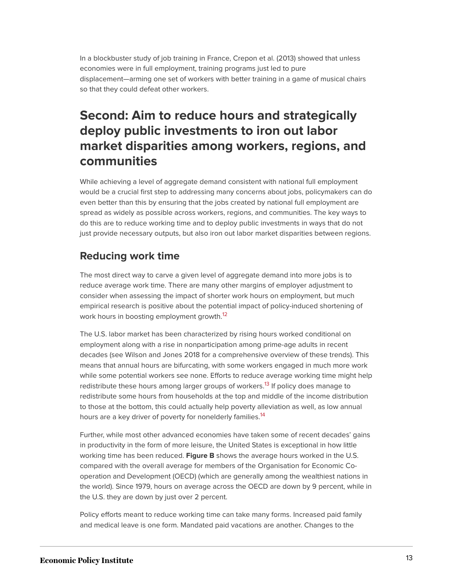In a blockbuster study of job training in France, Crepon et al. (2013) showed that unless economies were in full employment, training programs just led to pure displacement—arming one set of workers with better training in a game of musical chairs so that they could defeat other workers.

## **Second: Aim to reduce hours and strategically deploy public investments to iron out labor market disparities among workers, regions, and communities**

While achieving a level of aggregate demand consistent with national full employment would be a crucial first step to addressing many concerns about jobs, policymakers can do even better than this by ensuring that the jobs created by national full employment are spread as widely as possible across workers, regions, and communities. The key ways to do this are to reduce working time and to deploy public investments in ways that do not just provide necessary outputs, but also iron out labor market disparities between regions.

#### **Reducing work time**

The most direct way to carve a given level of aggregate demand into more jobs is to reduce average work time. There are many other margins of employer adjustment to consider when assessing the impact of shorter work hours on employment, but much empirical research is positive about the potential impact of policy-induced shortening of work hours in boosting employment growth.<sup>[12](#page-21-4)</sup>

<span id="page-13-0"></span>The U.S. labor market has been characterized by rising hours worked conditional on employment along with a rise in nonparticipation among prime-age adults in recent decades (see Wilson and Jones 2018 for a comprehensive overview of these trends). This means that annual hours are bifurcating, with some workers engaged in much more work while some potential workers see none. Efforts to reduce average working time might help redistribute these hours among larger groups of workers.<sup>[13](#page-21-5)</sup> If policy does manage to redistribute some hours from households at the top and middle of the income distribution to those at the bottom, this could actually help poverty alleviation as well, as low annual hours are a key driver of poverty for nonelderly families.<sup>[14](#page-21-6)</sup>

<span id="page-13-2"></span><span id="page-13-1"></span>Further, while most other advanced economies have taken some of recent decades' gains in productivity in the form of more leisure, the United States is exceptional in how little working time has been reduced. **Figure B** shows the average hours worked in the U.S. compared with the overall average for members of the Organisation for Economic Cooperation and Development (OECD) (which are generally among the wealthiest nations in the world). Since 1979, hours on average across the OECD are down by 9 percent, while in the U.S. they are down by just over 2 percent.

Policy efforts meant to reduce working time can take many forms. Increased paid family and medical leave is one form. Mandated paid vacations are another. Changes to the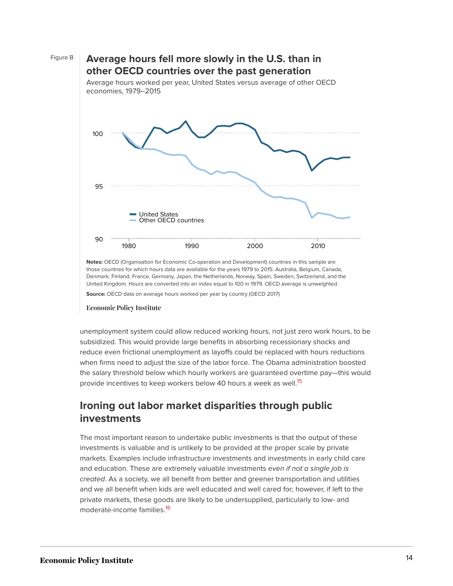

**Notes:** OECD (Organisation for Economic Co-operation and Development) countries in this sample are those countries for which hours data are available for the years 1979 to 2015: Australia, Belgium, Canada, Denmark, Finland, France, Germany, Japan, the Netherlands, Norway, Spain, Sweden, Switzerland, and the United Kingdom. Hours are converted into an index equal to 100 in 1979. OECD average is unweighted.

**Source:** OECD data on average hours worked per year by country (OECD 2017)

#### **Economic Policy Institute**

unemployment system could allow reduced working hours, not just zero work hours, to be subsidized. This would provide large benefits in absorbing recessionary shocks and reduce even frictional unemployment as layoffs could be replaced with hours reductions when firms need to adjust the size of the labor force. The Obama administration boosted the salary threshold below which hourly workers are guaranteed overtime pay—this would provide incentives to keep workers below 40 hours a week as well.<sup>[15](#page-21-7)</sup>

#### <span id="page-14-0"></span>**Ironing out labor market disparities through public investments**

<span id="page-14-1"></span>The most important reason to undertake public investments is that the output of these investments is valuable and is unlikely to be provided at the proper scale by private markets. Examples include infrastructure investments and investments in early child care and education. These are extremely valuable investments even if not a single job is created. As a society, we all benefit from better and greener transportation and utilities and we all benefit when kids are well educated and well cared for; however, if left to the private markets, these goods are likely to be undersupplied, particularly to low- and moderate-income families.[16](#page-21-8)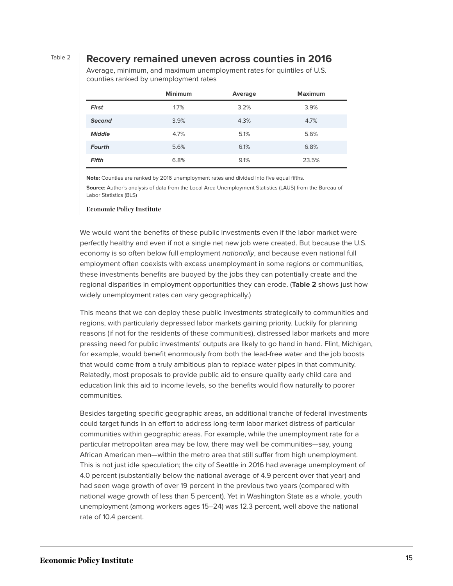#### Table 2 **Recovery remained uneven across counties in 2016**

Average, minimum, and maximum unemployment rates for quintiles of U.S. counties ranked by unemployment rates

|               | <b>Minimum</b> | Average | <b>Maximum</b> |
|---------------|----------------|---------|----------------|
| First         | 1.7%           | 3.2%    | 3.9%           |
| <b>Second</b> | 3.9%           | 4.3%    | 4.7%           |
| <b>Middle</b> | 4.7%           | 5.1%    | 5.6%           |
| <b>Fourth</b> | 5.6%           | 6.1%    | 6.8%           |
| <b>Fifth</b>  | 6.8%           | 9.1%    | 23.5%          |

**Note:** Counties are ranked by 2016 unemployment rates and divided into five equal fifths.

**Source:** Author's analysis of data from the Local Area Unemployment Statistics (LAUS) from the Bureau of Labor Statistics (BLS)

#### **Economic Policy Institute**

We would want the benefits of these public investments even if the labor market were perfectly healthy and even if not a single net new job were created. But because the U.S. economy is so often below full employment *nationally*, and because even national full employment often coexists with excess unemployment in some regions or communities, these investments benefits are buoyed by the jobs they can potentially create and the regional disparities in employment opportunities they can erode. (**Table 2** shows just how widely unemployment rates can vary geographically.)

This means that we can deploy these public investments strategically to communities and regions, with particularly depressed labor markets gaining priority. Luckily for planning reasons (if not for the residents of these communities), distressed labor markets and more pressing need for public investments' outputs are likely to go hand in hand. Flint, Michigan, for example, would benefit enormously from both the lead-free water and the job boosts that would come from a truly ambitious plan to replace water pipes in that community. Relatedly, most proposals to provide public aid to ensure quality early child care and education link this aid to income levels, so the benefits would flow naturally to poorer communities.

Besides targeting specific geographic areas, an additional tranche of federal investments could target funds in an effort to address long-term labor market distress of particular communities within geographic areas. For example, while the unemployment rate for a particular metropolitan area may be low, there may well be communities—say, young African American men—within the metro area that still suffer from high unemployment. This is not just idle speculation; the city of Seattle in 2016 had average unemployment of 4.0 percent (substantially below the national average of 4.9 percent over that year) and had seen wage growth of over 19 percent in the previous two years (compared with national wage growth of less than 5 percent). Yet in Washington State as a whole, youth unemployment (among workers ages 15–24) was 12.3 percent, well above the national rate of 10.4 percent.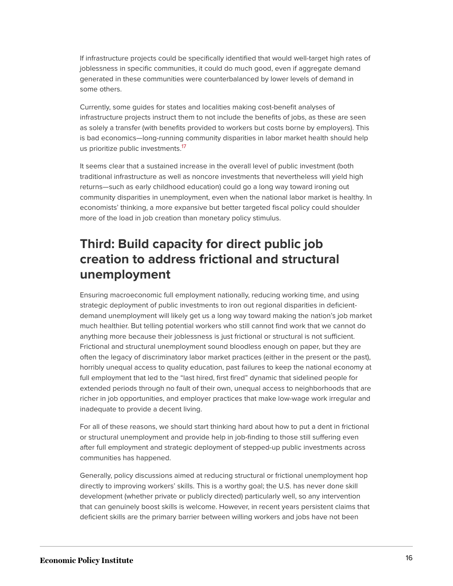If infrastructure projects could be specifically identified that would well-target high rates of joblessness in specific communities, it could do much good, even if aggregate demand generated in these communities were counterbalanced by lower levels of demand in some others.

Currently, some guides for states and localities making cost-benefit analyses of infrastructure projects instruct them to not include the benefits of jobs, as these are seen as solely a transfer (with benefits provided to workers but costs borne by employers). This is bad economics—long-running community disparities in labor market health should help us prioritize public investments.<sup>[17](#page-21-9)</sup>

<span id="page-16-0"></span>It seems clear that a sustained increase in the overall level of public investment (both traditional infrastructure as well as noncore investments that nevertheless will yield high returns—such as early childhood education) could go a long way toward ironing out community disparities in unemployment, even when the national labor market is healthy. In economists' thinking, a more expansive but better targeted fiscal policy could shoulder more of the load in job creation than monetary policy stimulus.

## **Third: Build capacity for direct public job creation to address frictional and structural unemployment**

Ensuring macroeconomic full employment nationally, reducing working time, and using strategic deployment of public investments to iron out regional disparities in deficientdemand unemployment will likely get us a long way toward making the nation's job market much healthier. But telling potential workers who still cannot find work that we cannot do anything more because their joblessness is just frictional or structural is not sufficient. Frictional and structural unemployment sound bloodless enough on paper, but they are often the legacy of discriminatory labor market practices (either in the present or the past), horribly unequal access to quality education, past failures to keep the national economy at full employment that led to the "last hired, first fired" dynamic that sidelined people for extended periods through no fault of their own, unequal access to neighborhoods that are richer in job opportunities, and employer practices that make low-wage work irregular and inadequate to provide a decent living.

For all of these reasons, we should start thinking hard about how to put a dent in frictional or structural unemployment and provide help in job-finding to those still suffering even after full employment and strategic deployment of stepped-up public investments across communities has happened.

Generally, policy discussions aimed at reducing structural or frictional unemployment hop directly to improving workers' skills. This is a worthy goal; the U.S. has never done skill development (whether private or publicly directed) particularly well, so any intervention that can genuinely boost skills is welcome. However, in recent years persistent claims that deficient skills are the primary barrier between willing workers and jobs have not been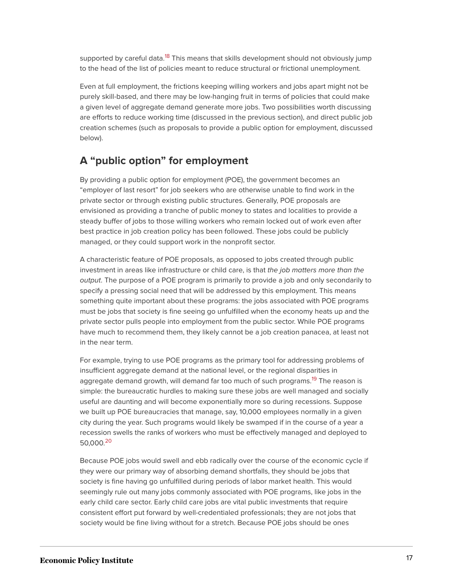<span id="page-17-0"></span>supported by careful data.<sup>[18](#page-22-1)</sup> This means that skills development should not obviously jump to the head of the list of policies meant to reduce structural or frictional unemployment.

Even at full employment, the frictions keeping willing workers and jobs apart might not be purely skill-based, and there may be low-hanging fruit in terms of policies that could make a given level of aggregate demand generate more jobs. Two possibilities worth discussing are efforts to reduce working time (discussed in the previous section), and direct public job creation schemes (such as proposals to provide a public option for employment, discussed below).

#### **A "public option" for employment**

By providing a public option for employment (POE), the government becomes an "employer of last resort" for job seekers who are otherwise unable to find work in the private sector or through existing public structures. Generally, POE proposals are envisioned as providing a tranche of public money to states and localities to provide a steady buffer of jobs to those willing workers who remain locked out of work even after best practice in job creation policy has been followed. These jobs could be publicly managed, or they could support work in the nonprofit sector.

A characteristic feature of POE proposals, as opposed to jobs created through public investment in areas like infrastructure or child care, is that the job matters more than the output. The purpose of a POE program is primarily to provide a job and only secondarily to specify a pressing social need that will be addressed by this employment. This means something quite important about these programs: the jobs associated with POE programs must be jobs that society is fine seeing go unfulfilled when the economy heats up and the private sector pulls people into employment from the public sector. While POE programs have much to recommend them, they likely cannot be a job creation panacea, at least not in the near term.

<span id="page-17-1"></span>For example, trying to use POE programs as the primary tool for addressing problems of insufficient aggregate demand at the national level, or the regional disparities in aggregate demand growth, will demand far too much of such programs.<sup>[19](#page-22-2)</sup> The reason is simple: the bureaucratic hurdles to making sure these jobs are well managed and socially useful are daunting and will become exponentially more so during recessions. Suppose we built up POE bureaucracies that manage, say, 10,000 employees normally in a given city during the year. Such programs would likely be swamped if in the course of a year a recession swells the ranks of workers who must be effectively managed and deployed to 50,000. [20](#page-22-3)

<span id="page-17-2"></span>Because POE jobs would swell and ebb radically over the course of the economic cycle if they were our primary way of absorbing demand shortfalls, they should be jobs that society is fine having go unfulfilled during periods of labor market health. This would seemingly rule out many jobs commonly associated with POE programs, like jobs in the early child care sector. Early child care jobs are vital public investments that require consistent effort put forward by well-credentialed professionals; they are not jobs that society would be fine living without for a stretch. Because POE jobs should be ones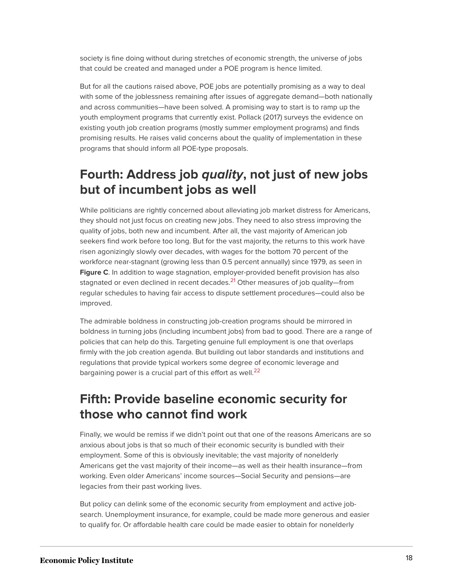society is fine doing without during stretches of economic strength, the universe of jobs that could be created and managed under a POE program is hence limited.

But for all the cautions raised above, POE jobs are potentially promising as a way to deal with some of the joblessness remaining after issues of aggregate demand—both nationally and across communities—have been solved. A promising way to start is to ramp up the youth employment programs that currently exist. Pollack (2017) surveys the evidence on existing youth job creation programs (mostly summer employment programs) and finds promising results. He raises valid concerns about the quality of implementation in these programs that should inform all POE-type proposals.

## **Fourth: Address job quality, not just of new jobs but of incumbent jobs as well**

While politicians are rightly concerned about alleviating job market distress for Americans, they should not just focus on creating new jobs. They need to also stress improving the quality of jobs, both new and incumbent. After all, the vast majority of American job seekers find work before too long. But for the vast majority, the returns to this work have risen agonizingly slowly over decades, with wages for the bottom 70 percent of the workforce near-stagnant (growing less than 0.5 percent annually) since 1979, as seen in **Figure C**. In addition to wage stagnation, employer-provided benefit provision has also stagnated or even declined in recent decades.<sup>[21](#page-22-4)</sup> Other measures of job quality—from regular schedules to having fair access to dispute settlement procedures—could also be improved.

<span id="page-18-0"></span>The admirable boldness in constructing job-creation programs should be mirrored in boldness in turning jobs (including incumbent jobs) from bad to good. There are a range of policies that can help do this. Targeting genuine full employment is one that overlaps firmly with the job creation agenda. But building out labor standards and institutions and regulations that provide typical workers some degree of economic leverage and bargaining power is a crucial part of this effort as well. $^{22}$  $^{22}$  $^{22}$ 

### <span id="page-18-1"></span>**Fifth: Provide baseline economic security for those who cannot find work**

Finally, we would be remiss if we didn't point out that one of the reasons Americans are so anxious about jobs is that so much of their economic security is bundled with their employment. Some of this is obviously inevitable; the vast majority of nonelderly Americans get the vast majority of their income—as well as their health insurance—from working. Even older Americans' income sources—Social Security and pensions—are legacies from their past working lives.

But policy can delink some of the economic security from employment and active jobsearch. Unemployment insurance, for example, could be made more generous and easier to qualify for. Or affordable health care could be made easier to obtain for nonelderly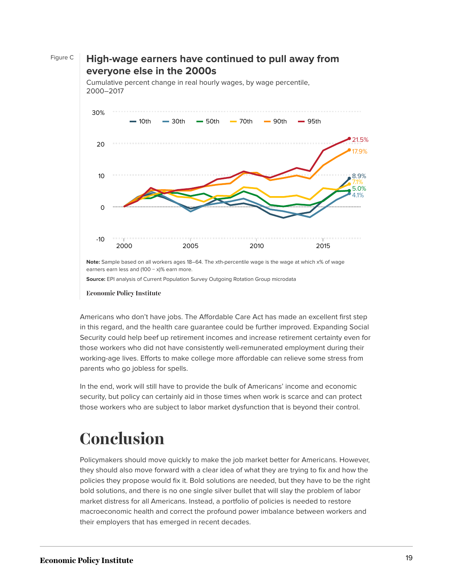

**Source:** EPI analysis of Current Population Survey Outgoing Rotation Group microdata

Figure C **High-wage earners have continued to pull away from**

**Economic Policy Institute** 

Americans who don't have jobs. The Affordable Care Act has made an excellent first step in this regard, and the health care guarantee could be further improved. Expanding Social Security could help beef up retirement incomes and increase retirement certainty even for those workers who did not have consistently well-remunerated employment during their working-age lives. Efforts to make college more affordable can relieve some stress from parents who go jobless for spells.

In the end, work will still have to provide the bulk of Americans' income and economic security, but policy can certainly aid in those times when work is scarce and can protect those workers who are subject to labor market dysfunction that is beyond their control.

# <span id="page-19-0"></span>**Conclusion**

Policymakers should move quickly to make the job market better for Americans. However, they should also move forward with a clear idea of what they are trying to fix and how the policies they propose would fix it. Bold solutions are needed, but they have to be the right bold solutions, and there is no one single silver bullet that will slay the problem of labor market distress for all Americans. Instead, a portfolio of policies is needed to restore macroeconomic health and correct the profound power imbalance between workers and their employers that has emerged in recent decades.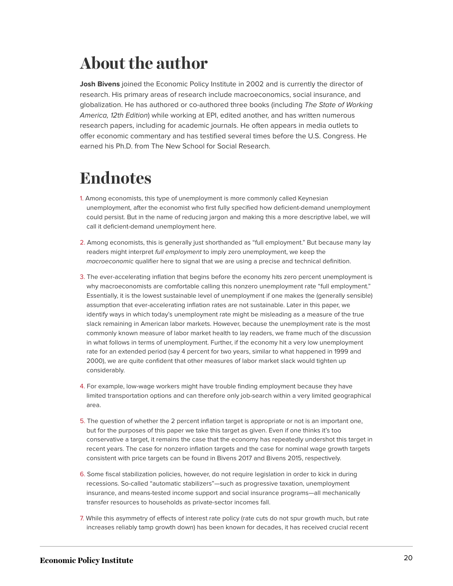# <span id="page-20-0"></span>**About the author**

**Josh Bivens** joined the Economic Policy Institute in 2002 and is currently the director of research. His primary areas of research include macroeconomics, social insurance, and globalization. He has authored or co-authored three books (including The State of Working America, 12th Edition) while working at EPI, edited another, and has written numerous research papers, including for academic journals. He often appears in media outlets to offer economic commentary and has testified several times before the U.S. Congress. He earned his Ph.D. from The New School for Social Research.

# <span id="page-20-1"></span>**Endnotes**

- <span id="page-20-2"></span>[1.](#page-3-1) Among economists, this type of unemployment is more commonly called Keynesian unemployment, after the economist who first fully specified how deficient-demand unemployment could persist. But in the name of reducing jargon and making this a more descriptive label, we will call it deficient-demand unemployment here.
- <span id="page-20-3"></span>[2.](#page-3-2) Among economists, this is generally just shorthanded as "full employment." But because many lay readers might interpret full employment to imply zero unemployment, we keep the macroeconomic qualifier here to signal that we are using a precise and technical definition.
- <span id="page-20-4"></span>[3.](#page-3-3) The ever-accelerating inflation that begins before the economy hits zero percent unemployment is why macroeconomists are comfortable calling this nonzero unemployment rate "full employment." Essentially, it is the lowest sustainable level of unemployment if one makes the (generally sensible) assumption that ever-accelerating inflation rates are not sustainable. Later in this paper, we identify ways in which today's unemployment rate might be misleading as a measure of the true slack remaining in American labor markets. However, because the unemployment rate is the most commonly known measure of labor market health to lay readers, we frame much of the discussion in what follows in terms of unemployment. Further, if the economy hit a very low unemployment rate for an extended period (say 4 percent for two years, similar to what happened in 1999 and 2000), we are quite confident that other measures of labor market slack would tighten up considerably.
- <span id="page-20-5"></span>[4.](#page-4-1) For example, low-wage workers might have trouble finding employment because they have limited transportation options and can therefore only job-search within a very limited geographical area.
- <span id="page-20-6"></span>[5.](#page-5-0) The question of whether the 2 percent inflation target is appropriate or not is an important one, but for the purposes of this paper we take this target as given. Even if one thinks it's too conservative a target, it remains the case that the economy has repeatedly undershot this target in recent years. The case for nonzero inflation targets and the case for nominal wage growth targets consistent with price targets can be found in Bivens 2017 and Bivens 2015, respectively.
- <span id="page-20-7"></span>[6.](#page-9-0) Some fiscal stabilization policies, however, do not require legislation in order to kick in during recessions. So-called "automatic stabilizers"—such as progressive taxation, unemployment insurance, and means-tested income support and social insurance programs—all mechanically transfer resources to households as private-sector incomes fall.
- <span id="page-20-8"></span>[7.](#page-9-1) While this asymmetry of effects of interest rate policy (rate cuts do not spur growth much, but rate increases reliably tamp growth down) has been known for decades, it has received crucial recent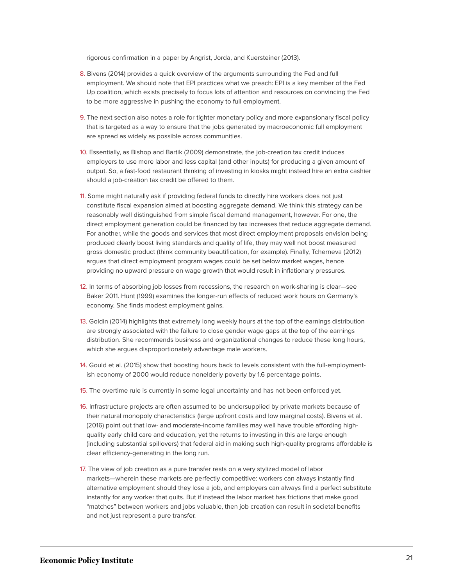rigorous confirmation in a paper by Angrist, Jorda, and Kuersteiner (2013).

- <span id="page-21-0"></span>[8.](#page-9-2) Bivens (2014) provides a quick overview of the arguments surrounding the Fed and full employment. We should note that EPI practices what we preach: EPI is a key member of the Fed Up coalition, which exists precisely to focus lots of attention and resources on convincing the Fed to be more aggressive in pushing the economy to full employment.
- <span id="page-21-1"></span>[9.](#page-10-1) The next section also notes a role for tighter monetary policy and more expansionary fiscal policy that is targeted as a way to ensure that the jobs generated by macroeconomic full employment are spread as widely as possible across communities.
- <span id="page-21-2"></span>[10.](#page-11-0) Essentially, as Bishop and Bartik (2009) demonstrate, the job-creation tax credit induces employers to use more labor and less capital (and other inputs) for producing a given amount of output. So, a fast-food restaurant thinking of investing in kiosks might instead hire an extra cashier should a job-creation tax credit be offered to them.
- <span id="page-21-3"></span>[11.](#page-11-1) Some might naturally ask if providing federal funds to directly hire workers does not just constitute fiscal expansion aimed at boosting aggregate demand. We think this strategy can be reasonably well distinguished from simple fiscal demand management, however. For one, the direct employment generation could be financed by tax increases that reduce aggregate demand. For another, while the goods and services that most direct employment proposals envision being produced clearly boost living standards and quality of life, they may well not boost measured gross domestic product (think community beautification, for example). Finally, Tcherneva (2012) argues that direct employment program wages could be set below market wages, hence providing no upward pressure on wage growth that would result in inflationary pressures.
- <span id="page-21-4"></span>[12.](#page-13-0) In terms of absorbing job losses from recessions, the research on work-sharing is clear—see Baker 2011. Hunt (1999) examines the longer-run effects of reduced work hours on Germany's economy. She finds modest employment gains.
- <span id="page-21-5"></span>[13.](#page-13-1) Goldin (2014) highlights that extremely long weekly hours at the top of the earnings distribution are strongly associated with the failure to close gender wage gaps at the top of the earnings distribution. She recommends business and organizational changes to reduce these long hours, which she argues disproportionately advantage male workers.
- <span id="page-21-6"></span>[14.](#page-13-2) Gould et al. (2015) show that boosting hours back to levels consistent with the full-employmentish economy of 2000 would reduce nonelderly poverty by 1.6 percentage points.
- <span id="page-21-7"></span>[15.](#page-14-0) The overtime rule is currently in some legal uncertainty and has not been enforced yet.
- <span id="page-21-8"></span>[16.](#page-14-1) Infrastructure projects are often assumed to be undersupplied by private markets because of their natural monopoly characteristics (large upfront costs and low marginal costs). Bivens et al. (2016) point out that low- and moderate-income families may well have trouble affording highquality early child care and education, yet the returns to investing in this are large enough (including substantial spillovers) that federal aid in making such high-quality programs affordable is clear efficiency-generating in the long run.
- <span id="page-21-9"></span>[17.](#page-16-0) The view of job creation as a pure transfer rests on a very stylized model of labor markets—wherein these markets are perfectly competitive: workers can always instantly find alternative employment should they lose a job, and employers can always find a perfect substitute instantly for any worker that quits. But if instead the labor market has frictions that make good "matches" between workers and jobs valuable, then job creation can result in societal benefits and not just represent a pure transfer.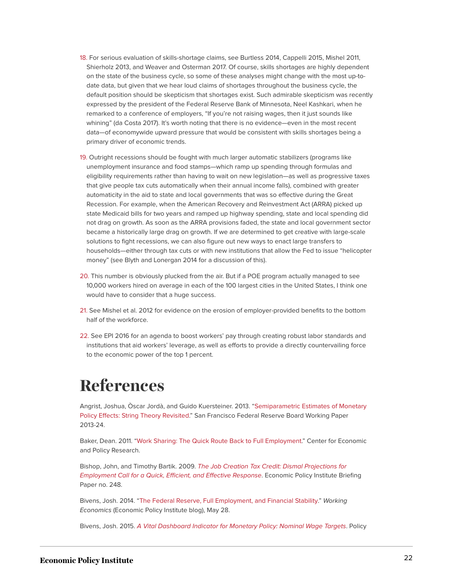- <span id="page-22-1"></span>[18.](#page-17-0) For serious evaluation of skills-shortage claims, see Burtless 2014, Cappelli 2015, Mishel 2011, Shierholz 2013, and Weaver and Osterman 2017. Of course, skills shortages are highly dependent on the state of the business cycle, so some of these analyses might change with the most up-todate data, but given that we hear loud claims of shortages throughout the business cycle, the default position should be skepticism that shortages exist. Such admirable skepticism was recently expressed by the president of the Federal Reserve Bank of Minnesota, Neel Kashkari, when he remarked to a conference of employers, "If you're not raising wages, then it just sounds like whining" (da Costa 2017). It's worth noting that there is no evidence—even in the most recent data—of economywide upward pressure that would be consistent with skills shortages being a primary driver of economic trends.
- <span id="page-22-2"></span>[19.](#page-17-1) Outright recessions should be fought with much larger automatic stabilizers (programs like unemployment insurance and food stamps—which ramp up spending through formulas and eligibility requirements rather than having to wait on new legislation—as well as progressive taxes that give people tax cuts automatically when their annual income falls), combined with greater automaticity in the aid to state and local governments that was so effective during the Great Recession. For example, when the American Recovery and Reinvestment Act (ARRA) picked up state Medicaid bills for two years and ramped up highway spending, state and local spending did not drag on growth. As soon as the ARRA provisions faded, the state and local government sector became a historically large drag on growth. If we are determined to get creative with large-scale solutions to fight recessions, we can also figure out new ways to enact large transfers to households—either through tax cuts or with new institutions that allow the Fed to issue "helicopter money" (see Blyth and Lonergan 2014 for a discussion of this).
- <span id="page-22-3"></span>[20.](#page-17-2) This number is obviously plucked from the air. But if a POE program actually managed to see 10,000 workers hired on average in each of the 100 largest cities in the United States, I think one would have to consider that a huge success.
- <span id="page-22-4"></span>[21.](#page-18-0) See Mishel et al. 2012 for evidence on the erosion of employer-provided benefits to the bottom half of the workforce.
- <span id="page-22-5"></span>[22.](#page-18-1) See EPI 2016 for an agenda to boost workers' pay through creating robust labor standards and institutions that aid workers' leverage, as well as efforts to provide a directly countervailing force to the economic power of the top 1 percent.

# <span id="page-22-0"></span>**References**

Angrist, Joshua, Òscar Jordà, and Guido Kuersteiner. 2013. ["Semiparametric Estimates of Monetary](http://www.frbsf.org/economic-research/files/wp2013-24.pdf) [Policy Effects: String Theory Revisited.](http://www.frbsf.org/economic-research/files/wp2013-24.pdf)" San Francisco Federal Reserve Board Working Paper 2013-24.

Baker, Dean. 2011. ["Work Sharing: The Quick Route Back to Full Employment.](http://cepr.net/documents/publications/work-sharing-2011-06.pdf)" Center for Economic and Policy Research.

Bishop, John, and Timothy Bartik. 2009. [The Job Creation Tax Credit: Dismal](https://www.epi.org/publication/bp248/) Projections for [Employment Call for a Quick, Efficient, and Effective Response](https://www.epi.org/publication/bp248/). Economic Policy Institute Briefing Paper no. 248.

Bivens, Josh. 2014. ["The Federal Reserve, Full Employment, and Financial Stability.](https://www.epi.org/blog/federal-reserve-full-employment-financial/)" Working Economics (Economic Policy Institute blog), May 28.

Bivens, Josh. 2015. [A Vital Dashboard Indicator for Monetary Policy: Nominal Wage Targets](https://www.cbpp.org/research/full-employment/a-vital-dashboard-indicator-for-monetary-policy-nominal-wage-targets). Policy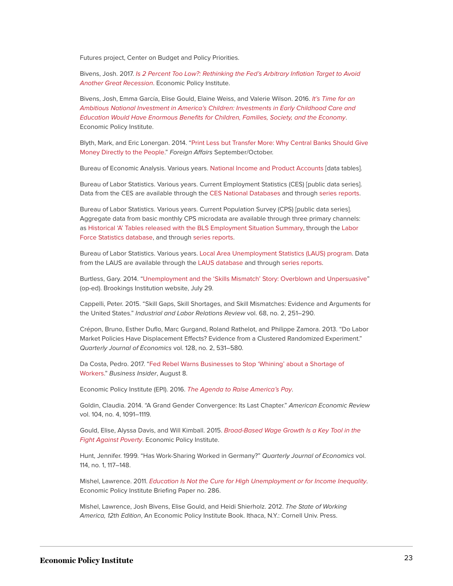Futures project, Center on Budget and Policy Priorities.

Bivens, Josh. 2017. [Is 2 Percent Too Low?: Rethinking the Fed's Arbitrary Inflation Target to Avoid](https://www.epi.org/publication/is-2-percent-too-low/) [Another Great Recession](https://www.epi.org/publication/is-2-percent-too-low/). Economic Policy Institute.

Bivens, Josh, Emma García, Elise Gould, Elaine Weiss, and Valerie Wilson. 2016. [It's Time for an](https://www.epi.org/publication/its-time-for-an-ambitious-national-investment-in-americas-children/) [Ambitious National Investment in America's Children: Investments in Early Childhood Care and](https://www.epi.org/publication/its-time-for-an-ambitious-national-investment-in-americas-children/) [Education Would Have Enormous Benefits for Children, Families, Society, and the Economy](https://www.epi.org/publication/its-time-for-an-ambitious-national-investment-in-americas-children/). Economic Policy Institute.

Blyth, Mark, and Eric Lonergan. 2014. "[Print Less but Transfer More: Why Central Banks Should Give](https://www.foreignaffairs.com/articles/united-states/2014-08-11/print-less-transfer-more) [Money Directly to the People](https://www.foreignaffairs.com/articles/united-states/2014-08-11/print-less-transfer-more)." Foreign Affairs September/October.

Bureau of Economic Analysis. Various years. [National Income and Product Accounts](https://bea.gov/iTable/index_nipa.cfm) [data tables].

Bureau of Labor Statistics. Various years. Current Employment Statistics (CES) [public data series]. Data from the CES are available through the [CES National Databases](https://www.bls.gov/ces/data.htm) and through [series reports.](http://data.bls.gov/cgi-bin/srgate)

Bureau of Labor Statistics. Various years. Current Population Survey (CPS) [public data series]. Aggregate data from basic monthly CPS microdata are available through three primary channels: as [Historical 'A' Tables released with the BLS Employment Situation Summary,](http://www.bls.gov/data/#historical-tables) through the [Labor](http://www.bls.gov/cps/#data) [Force Statistics database](http://www.bls.gov/cps/#data), and through [series reports](http://data.bls.gov/cgi-bin/srgate).

Bureau of Labor Statistics. Various years. [Local Area Unemployment Statistics \(LAUS\) program.](https://www.bls.gov/lau/home.htm) Data from the LAUS are available through the [LAUS database](https://www.bls.gov/lau/data.htm) and through [series reports](http://data.bls.gov/cgi-bin/srgate).

Burtless, Gary. 2014. ["Unemployment and the 'Skills Mismatch' Story: Overblown and Unpersuasive](https://www.brookings.edu/opinions/unemployment-and-the-skills-mismatch-story-overblown-and-unpersuasive/)" (op-ed). Brookings Institution website, July 29.

Cappelli, Peter. 2015. "Skill Gaps, Skill Shortages, and Skill Mismatches: Evidence and Arguments for the United States." Industrial and Labor Relations Review vol. 68, no. 2, 251–290.

Crépon, Bruno, Esther Duflo, Marc Gurgand, Roland Rathelot, and Philippe Zamora. 2013. "Do Labor Market Policies Have Displacement Effects? Evidence from a Clustered Randomized Experiment." Quarterly Journal of Economics vol. 128, no. 2, 531–580.

Da Costa, Pedro. 2017. ["Fed Rebel Warns Businesses to Stop 'Whining' about a Shortage of](http://www.businessinsider.com/fed-official-businesses-should-raise-wages-before-complaining-of-worker-shortage-2017-8) [Workers.](http://www.businessinsider.com/fed-official-businesses-should-raise-wages-before-complaining-of-worker-shortage-2017-8)" Business Insider, August 8.

Economic Policy Institute (EPI). 2016. [The Agenda to Raise America's Pay](https://www.epi.org/pay-agenda/).

Goldin, Claudia. 2014. "A Grand Gender Convergence: Its Last Chapter." American Economic Review vol. 104, no. 4, 1091–1119.

Gould, Elise, Alyssa Davis, and Will Kimball. 2015. [Broad-Based Wage Growth Is a Key Tool in the](https://www.epi.org/publication/broad-based-wage-growth-is-a-key-tool-in-the-fight-against-poverty/) [Fight Against Poverty](https://www.epi.org/publication/broad-based-wage-growth-is-a-key-tool-in-the-fight-against-poverty/). Economic Policy Institute.

Hunt, Jennifer. 1999. "Has Work-Sharing Worked in Germany?" Quarterly Journal of Economics vol. 114, no. 1, 117–148.

Mishel, Lawrence. 2011. [Education Is Not the Cure for High Unemployment or for Income Inequality](https://www.epi.org/publication/education_is_not_the_cure_for_high_unemployment_or_for_income_inequality/). Economic Policy Institute Briefing Paper no. 286.

Mishel, Lawrence, Josh Bivens, Elise Gould, and Heidi Shierholz. 2012. The State of Working America, 12th Edition, An Economic Policy Institute Book. Ithaca, N.Y.: Cornell Univ. Press.